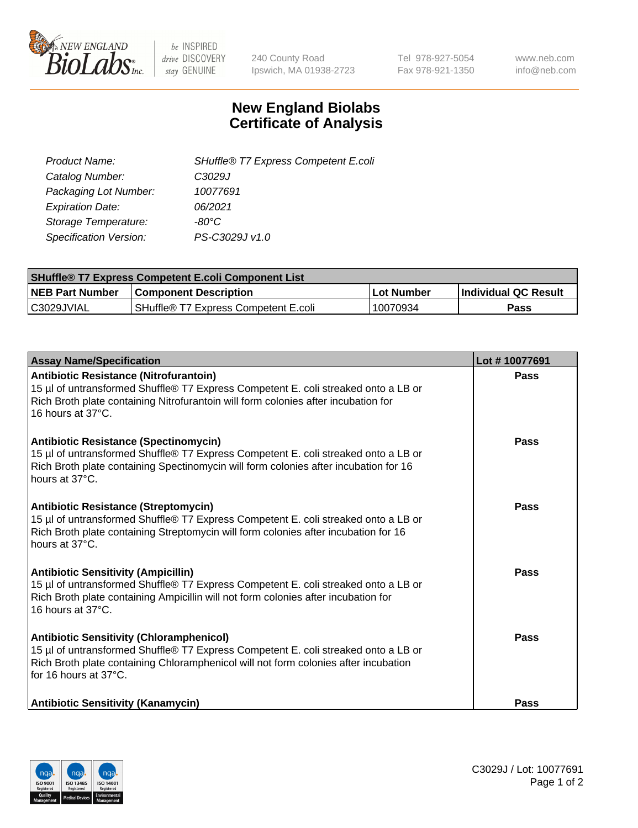

 $be$  INSPIRED drive DISCOVERY stay GENUINE

240 County Road Ipswich, MA 01938-2723 Tel 978-927-5054 Fax 978-921-1350 www.neb.com info@neb.com

## **New England Biolabs Certificate of Analysis**

| SHuffle® T7 Express Competent E.coli |
|--------------------------------------|
| C3029J                               |
| 10077691                             |
| 06/2021                              |
| -80°C                                |
| PS-C3029J v1.0                       |
|                                      |

| <b>SHuffle<sup>®</sup> T7 Express Competent E.coli Component List</b> |                                      |            |                             |  |
|-----------------------------------------------------------------------|--------------------------------------|------------|-----------------------------|--|
| <b>NEB Part Number</b>                                                | <b>Component Description</b>         | Lot Number | <b>Individual QC Result</b> |  |
| C3029JVIAL                                                            | SHuffle® T7 Express Competent E.coli | 10070934   | <b>Pass</b>                 |  |

| <b>Assay Name/Specification</b>                                                                                                                                                                                                                       | Lot #10077691 |
|-------------------------------------------------------------------------------------------------------------------------------------------------------------------------------------------------------------------------------------------------------|---------------|
| <b>Antibiotic Resistance (Nitrofurantoin)</b><br>15 µl of untransformed Shuffle® T7 Express Competent E. coli streaked onto a LB or<br>Rich Broth plate containing Nitrofurantoin will form colonies after incubation for<br>16 hours at 37°C.        | Pass          |
| <b>Antibiotic Resistance (Spectinomycin)</b><br>15 µl of untransformed Shuffle® T7 Express Competent E. coli streaked onto a LB or<br>Rich Broth plate containing Spectinomycin will form colonies after incubation for 16<br>hours at 37°C.          | Pass          |
| <b>Antibiotic Resistance (Streptomycin)</b><br>15 µl of untransformed Shuffle® T7 Express Competent E. coli streaked onto a LB or<br>Rich Broth plate containing Streptomycin will form colonies after incubation for 16<br>hours at 37°C.            | Pass          |
| <b>Antibiotic Sensitivity (Ampicillin)</b><br>15 µl of untransformed Shuffle® T7 Express Competent E. coli streaked onto a LB or<br>Rich Broth plate containing Ampicillin will not form colonies after incubation for<br>16 hours at 37°C.           | Pass          |
| <b>Antibiotic Sensitivity (Chloramphenicol)</b><br>15 µl of untransformed Shuffle® T7 Express Competent E. coli streaked onto a LB or<br>Rich Broth plate containing Chloramphenicol will not form colonies after incubation<br>for 16 hours at 37°C. | Pass          |
| <b>Antibiotic Sensitivity (Kanamycin)</b>                                                                                                                                                                                                             | <b>Pass</b>   |